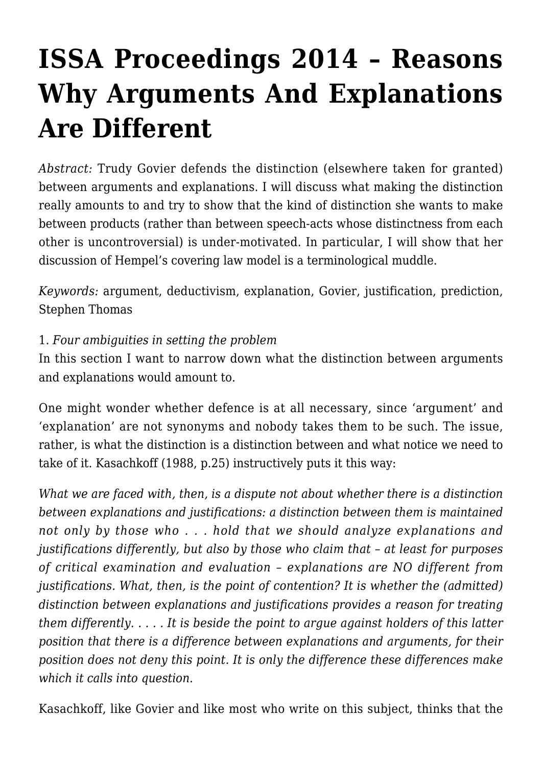# **[ISSA Proceedings 2014 – Reasons](https://rozenbergquarterly.com/issa-proceedings-2014-reasons-why-arguments-and-explanations-are-different/) [Why Arguments And Explanations](https://rozenbergquarterly.com/issa-proceedings-2014-reasons-why-arguments-and-explanations-are-different/) [Are Different](https://rozenbergquarterly.com/issa-proceedings-2014-reasons-why-arguments-and-explanations-are-different/)**

*Abstract:* Trudy Govier defends the distinction (elsewhere taken for granted) between arguments and explanations. I will discuss what making the distinction really amounts to and try to show that the kind of distinction she wants to make between products (rather than between speech-acts whose distinctness from each other is uncontroversial) is under-motivated. In particular, I will show that her discussion of Hempel's covering law model is a terminological muddle.

*Keywords:* argument, deductivism, explanation, Govier, justification, prediction, Stephen Thomas

# 1. *Four ambiguities in setting the problem*

In this section I want to narrow down what the distinction between arguments and explanations would amount to.

One might wonder whether defence is at all necessary, since 'argument' and 'explanation' are not synonyms and nobody takes them to be such. The issue, rather, is what the distinction is a distinction between and what notice we need to take of it. Kasachkoff (1988, p.25) instructively puts it this way:

*What we are faced with, then, is a dispute not about whether there is a distinction between explanations and justifications: a distinction between them is maintained not only by those who . . . hold that we should analyze explanations and justifications differently, but also by those who claim that – at least for purposes of critical examination and evaluation – explanations are NO different from justifications. What, then, is the point of contention? It is whether the (admitted) distinction between explanations and justifications provides a reason for treating them differently. . . . . It is beside the point to argue against holders of this latter position that there is a difference between explanations and arguments, for their position does not deny this point. It is only the difference these differences make which it calls into question*.

Kasachkoff, like Govier and like most who write on this subject, thinks that the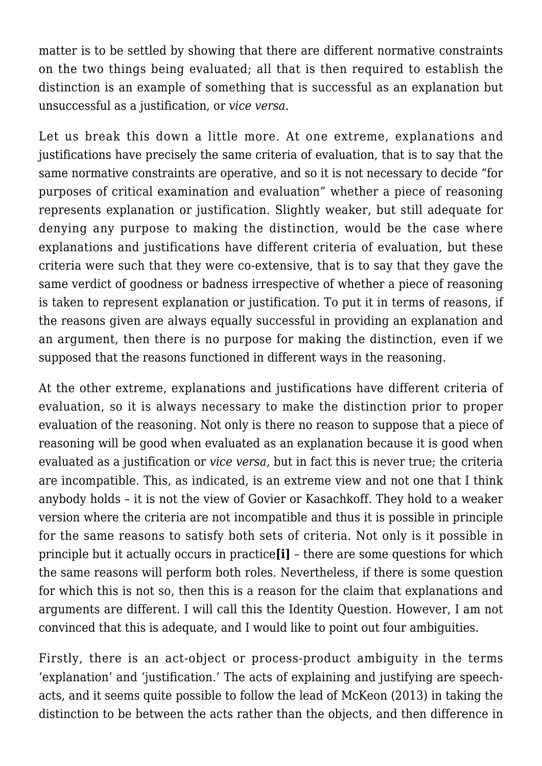matter is to be settled by showing that there are different normative constraints on the two things being evaluated; all that is then required to establish the distinction is an example of something that is successful as an explanation but unsuccessful as a justification, or *vice versa*.

Let us break this down a little more. At one extreme, explanations and justifications have precisely the same criteria of evaluation, that is to say that the same normative constraints are operative, and so it is not necessary to decide "for purposes of critical examination and evaluation" whether a piece of reasoning represents explanation or justification. Slightly weaker, but still adequate for denying any purpose to making the distinction, would be the case where explanations and justifications have different criteria of evaluation, but these criteria were such that they were co-extensive, that is to say that they gave the same verdict of goodness or badness irrespective of whether a piece of reasoning is taken to represent explanation or justification. To put it in terms of reasons, if the reasons given are always equally successful in providing an explanation and an argument, then there is no purpose for making the distinction, even if we supposed that the reasons functioned in different ways in the reasoning.

At the other extreme, explanations and justifications have different criteria of evaluation, so it is always necessary to make the distinction prior to proper evaluation of the reasoning. Not only is there no reason to suppose that a piece of reasoning will be good when evaluated as an explanation because it is good when evaluated as a justification or *vice versa,* but in fact this is never true; the criteria are incompatible. This, as indicated, is an extreme view and not one that I think anybody holds – it is not the view of Govier or Kasachkoff. They hold to a weaker version where the criteria are not incompatible and thus it is possible in principle for the same reasons to satisfy both sets of criteria. Not only is it possible in principle but it actually occurs in practice**[i]** – there are some questions for which the same reasons will perform both roles. Nevertheless, if there is some question for which this is not so, then this is a reason for the claim that explanations and arguments are different. I will call this the Identity Question. However, I am not convinced that this is adequate, and I would like to point out four ambiguities.

Firstly, there is an act-object or process-product ambiguity in the terms 'explanation' and 'justification.' The acts of explaining and justifying are speechacts, and it seems quite possible to follow the lead of McKeon (2013) in taking the distinction to be between the acts rather than the objects, and then difference in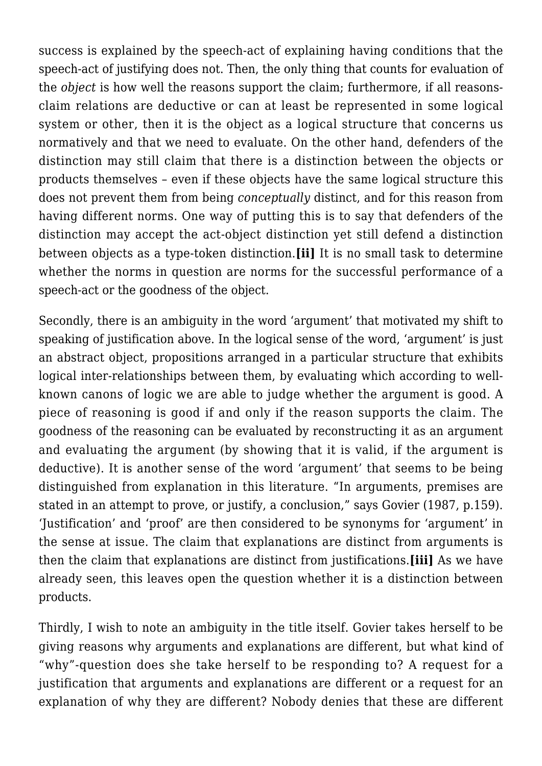success is explained by the speech-act of explaining having conditions that the speech-act of justifying does not. Then, the only thing that counts for evaluation of the *object* is how well the reasons support the claim; furthermore, if all reasonsclaim relations are deductive or can at least be represented in some logical system or other, then it is the object as a logical structure that concerns us normatively and that we need to evaluate. On the other hand, defenders of the distinction may still claim that there is a distinction between the objects or products themselves – even if these objects have the same logical structure this does not prevent them from being *conceptually* distinct, and for this reason from having different norms. One way of putting this is to say that defenders of the distinction may accept the act-object distinction yet still defend a distinction between objects as a type-token distinction.**[ii]** It is no small task to determine whether the norms in question are norms for the successful performance of a speech-act or the goodness of the object.

Secondly, there is an ambiguity in the word 'argument' that motivated my shift to speaking of justification above. In the logical sense of the word, 'argument' is just an abstract object, propositions arranged in a particular structure that exhibits logical inter-relationships between them, by evaluating which according to wellknown canons of logic we are able to judge whether the argument is good. A piece of reasoning is good if and only if the reason supports the claim. The goodness of the reasoning can be evaluated by reconstructing it as an argument and evaluating the argument (by showing that it is valid, if the argument is deductive). It is another sense of the word 'argument' that seems to be being distinguished from explanation in this literature. "In arguments, premises are stated in an attempt to prove, or justify, a conclusion," says Govier (1987, p.159). 'Justification' and 'proof' are then considered to be synonyms for 'argument' in the sense at issue. The claim that explanations are distinct from arguments is then the claim that explanations are distinct from justifications.**[iii]** As we have already seen, this leaves open the question whether it is a distinction between products.

Thirdly, I wish to note an ambiguity in the title itself. Govier takes herself to be giving reasons why arguments and explanations are different, but what kind of "why"-question does she take herself to be responding to? A request for a justification that arguments and explanations are different or a request for an explanation of why they are different? Nobody denies that these are different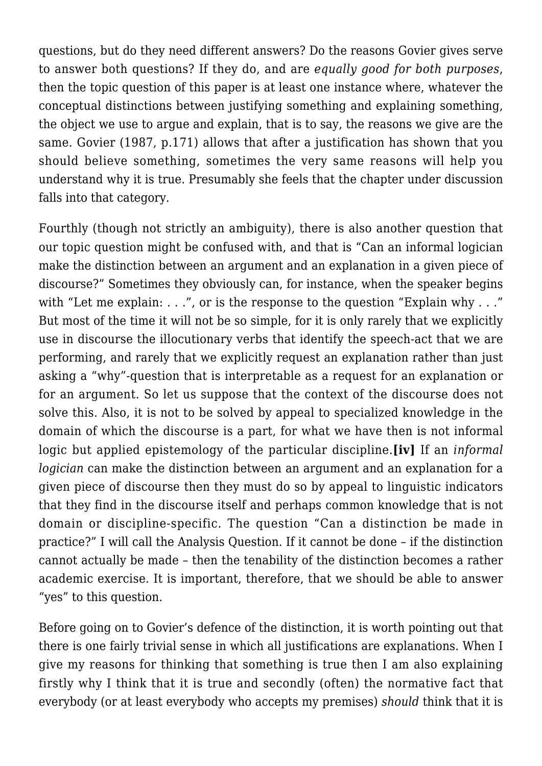questions, but do they need different answers? Do the reasons Govier gives serve to answer both questions? If they do, and are *equally good for both purposes*, then the topic question of this paper is at least one instance where, whatever the conceptual distinctions between justifying something and explaining something, the object we use to argue and explain, that is to say, the reasons we give are the same. Govier (1987, p.171) allows that after a justification has shown that you should believe something, sometimes the very same reasons will help you understand why it is true. Presumably she feels that the chapter under discussion falls into that category.

Fourthly (though not strictly an ambiguity), there is also another question that our topic question might be confused with, and that is "Can an informal logician make the distinction between an argument and an explanation in a given piece of discourse?" Sometimes they obviously can, for instance, when the speaker begins with "Let me explain: . . .", or is the response to the question "Explain why . . ." But most of the time it will not be so simple, for it is only rarely that we explicitly use in discourse the illocutionary verbs that identify the speech-act that we are performing, and rarely that we explicitly request an explanation rather than just asking a "why"-question that is interpretable as a request for an explanation or for an argument. So let us suppose that the context of the discourse does not solve this. Also, it is not to be solved by appeal to specialized knowledge in the domain of which the discourse is a part, for what we have then is not informal logic but applied epistemology of the particular discipline.**[iv]** If an *informal logician* can make the distinction between an argument and an explanation for a given piece of discourse then they must do so by appeal to linguistic indicators that they find in the discourse itself and perhaps common knowledge that is not domain or discipline-specific. The question "Can a distinction be made in practice?" I will call the Analysis Question. If it cannot be done – if the distinction cannot actually be made – then the tenability of the distinction becomes a rather academic exercise. It is important, therefore, that we should be able to answer "yes" to this question.

Before going on to Govier's defence of the distinction, it is worth pointing out that there is one fairly trivial sense in which all justifications are explanations. When I give my reasons for thinking that something is true then I am also explaining firstly why I think that it is true and secondly (often) the normative fact that everybody (or at least everybody who accepts my premises) *should* think that it is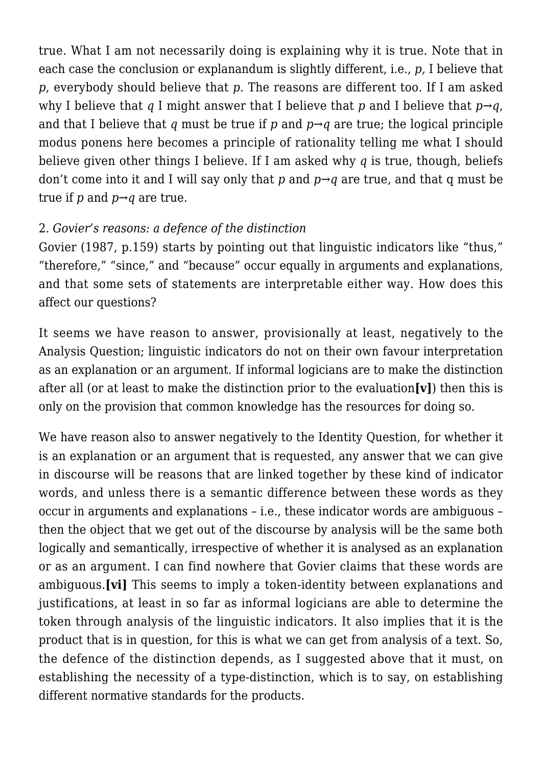true. What I am not necessarily doing is explaining why it is true. Note that in each case the conclusion or explanandum is slightly different, i.e., *p,* I believe that *p*, everybody should believe that *p*. The reasons are different too. If I am asked why I believe that *q* I might answer that I believe that *p* and I believe that  $p \rightarrow q$ . and that I believe that *q* must be true if *p* and *p→q* are true; the logical principle modus ponens here becomes a principle of rationality telling me what I should believe given other things I believe. If I am asked why *q* is true, though, beliefs don't come into it and I will say only that *p* and *p→q* are true, and that q must be true if *p* and *p→q* are true.

# 2. *Govier's reasons: a defence of the distinction*

Govier (1987, p.159) starts by pointing out that linguistic indicators like "thus," "therefore," "since," and "because" occur equally in arguments and explanations, and that some sets of statements are interpretable either way. How does this affect our questions?

It seems we have reason to answer, provisionally at least, negatively to the Analysis Question; linguistic indicators do not on their own favour interpretation as an explanation or an argument. If informal logicians are to make the distinction after all (or at least to make the distinction prior to the evaluation**[v]**) then this is only on the provision that common knowledge has the resources for doing so.

We have reason also to answer negatively to the Identity Question, for whether it is an explanation or an argument that is requested, any answer that we can give in discourse will be reasons that are linked together by these kind of indicator words, and unless there is a semantic difference between these words as they occur in arguments and explanations – i.e., these indicator words are ambiguous – then the object that we get out of the discourse by analysis will be the same both logically and semantically, irrespective of whether it is analysed as an explanation or as an argument. I can find nowhere that Govier claims that these words are ambiguous.**[vi]** This seems to imply a token-identity between explanations and justifications, at least in so far as informal logicians are able to determine the token through analysis of the linguistic indicators. It also implies that it is the product that is in question, for this is what we can get from analysis of a text. So, the defence of the distinction depends, as I suggested above that it must, on establishing the necessity of a type-distinction, which is to say, on establishing different normative standards for the products.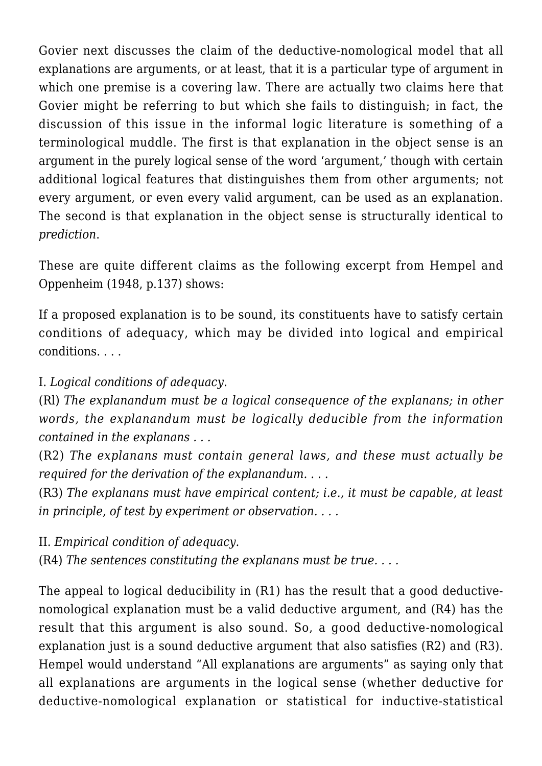Govier next discusses the claim of the deductive-nomological model that all explanations are arguments, or at least, that it is a particular type of argument in which one premise is a covering law. There are actually two claims here that Govier might be referring to but which she fails to distinguish; in fact, the discussion of this issue in the informal logic literature is something of a terminological muddle. The first is that explanation in the object sense is an argument in the purely logical sense of the word 'argument,' though with certain additional logical features that distinguishes them from other arguments; not every argument, or even every valid argument, can be used as an explanation. The second is that explanation in the object sense is structurally identical to *prediction*.

These are quite different claims as the following excerpt from Hempel and Oppenheim (1948, p.137) shows:

If a proposed explanation is to be sound, its constituents have to satisfy certain conditions of adequacy, which may be divided into logical and empirical conditions. . . .

I. *Logical conditions of adequacy.*

(Rl) *The explanandum must be a logical consequence of the explanans; in other words, the explanandum must be logically deducible from the information contained in the explanans . . .*

(R2) *The explanans must contain general laws, and these must actually be required for the derivation of the explanandum. . . .*

(R3) *The explanans must have empirical content; i.e., it must be capable, at least in principle, of test by experiment or observation. . . .*

II. *Empirical condition of adequacy.*

(R4) *The sentences constituting the explanans must be true. . . .*

The appeal to logical deducibility in (R1) has the result that a good deductivenomological explanation must be a valid deductive argument, and (R4) has the result that this argument is also sound. So, a good deductive-nomological explanation just is a sound deductive argument that also satisfies (R2) and (R3). Hempel would understand "All explanations are arguments" as saying only that all explanations are arguments in the logical sense (whether deductive for deductive-nomological explanation or statistical for inductive-statistical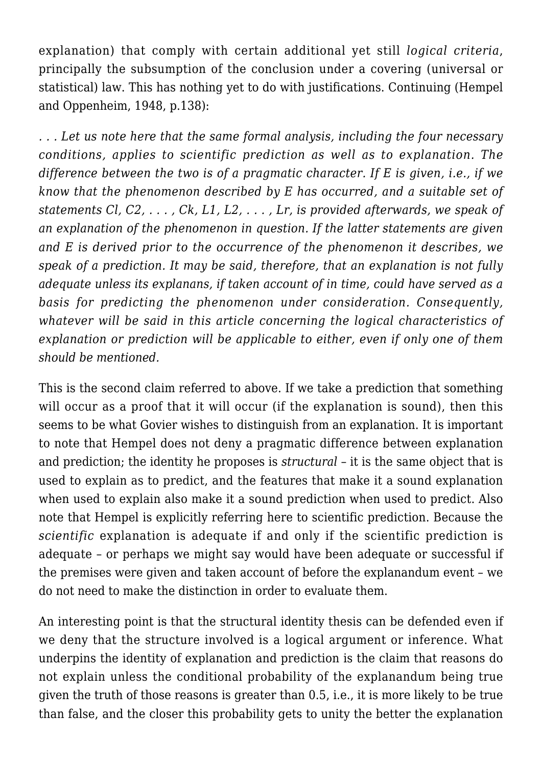explanation) that comply with certain additional yet still *logical criteria*, principally the subsumption of the conclusion under a covering (universal or statistical) law. This has nothing yet to do with justifications. Continuing (Hempel and Oppenheim, 1948, p.138):

*. . . Let us note here that the same formal analysis, including the four necessary conditions, applies to scientific prediction as well as to explanation. The difference between the two is of a pragmatic character. If E is given, i.e., if we know that the phenomenon described by E has occurred, and a suitable set of statements Cl, C2, . . . , Ck, L1, L2, . . . , Lr, is provided afterwards, we speak of an explanation of the phenomenon in question. If the latter statements are given and E is derived prior to the occurrence of the phenomenon it describes, we speak of a prediction. It may be said, therefore, that an explanation is not fully adequate unless its explanans, if taken account of in time, could have served as a basis for predicting the phenomenon under consideration. Consequently, whatever will be said in this article concerning the logical characteristics of explanation or prediction will be applicable to either, even if only one of them should be mentioned.*

This is the second claim referred to above. If we take a prediction that something will occur as a proof that it will occur (if the explanation is sound), then this seems to be what Govier wishes to distinguish from an explanation. It is important to note that Hempel does not deny a pragmatic difference between explanation and prediction; the identity he proposes is *structural* – it is the same object that is used to explain as to predict, and the features that make it a sound explanation when used to explain also make it a sound prediction when used to predict. Also note that Hempel is explicitly referring here to scientific prediction. Because the *scientific* explanation is adequate if and only if the scientific prediction is adequate – or perhaps we might say would have been adequate or successful if the premises were given and taken account of before the explanandum event – we do not need to make the distinction in order to evaluate them.

An interesting point is that the structural identity thesis can be defended even if we deny that the structure involved is a logical argument or inference. What underpins the identity of explanation and prediction is the claim that reasons do not explain unless the conditional probability of the explanandum being true given the truth of those reasons is greater than 0.5, i.e., it is more likely to be true than false, and the closer this probability gets to unity the better the explanation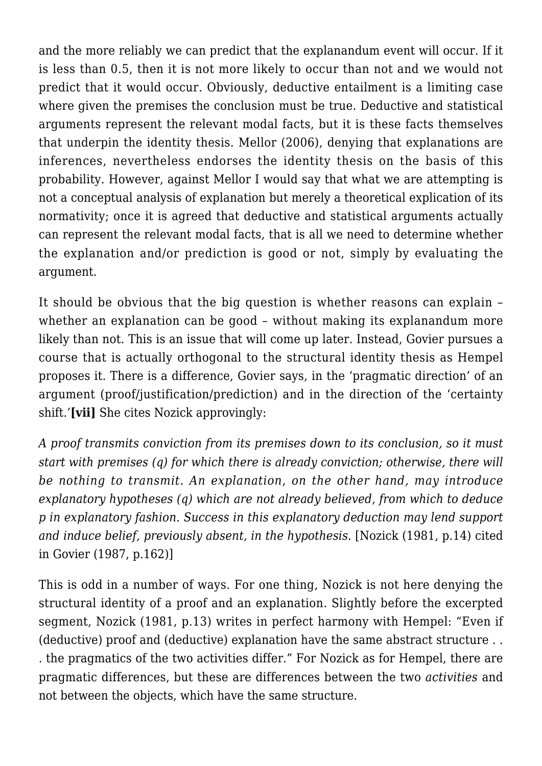and the more reliably we can predict that the explanandum event will occur. If it is less than 0.5, then it is not more likely to occur than not and we would not predict that it would occur. Obviously, deductive entailment is a limiting case where given the premises the conclusion must be true. Deductive and statistical arguments represent the relevant modal facts, but it is these facts themselves that underpin the identity thesis. Mellor (2006), denying that explanations are inferences, nevertheless endorses the identity thesis on the basis of this probability. However, against Mellor I would say that what we are attempting is not a conceptual analysis of explanation but merely a theoretical explication of its normativity; once it is agreed that deductive and statistical arguments actually can represent the relevant modal facts, that is all we need to determine whether the explanation and/or prediction is good or not, simply by evaluating the argument.

It should be obvious that the big question is whether reasons can explain – whether an explanation can be good – without making its explanandum more likely than not. This is an issue that will come up later. Instead, Govier pursues a course that is actually orthogonal to the structural identity thesis as Hempel proposes it. There is a difference, Govier says, in the 'pragmatic direction' of an argument (proof/justification/prediction) and in the direction of the 'certainty shift.'**[vii]** She cites Nozick approvingly:

*A proof transmits conviction from its premises down to its conclusion, so it must start with premises (q) for which there is already conviction; otherwise, there will be nothing to transmit. An explanation, on the other hand, may introduce explanatory hypotheses (q) which are not already believed, from which to deduce p in explanatory fashion. Success in this explanatory deduction may lend support and induce belief, previously absent, in the hypothesis.* [Nozick (1981, p.14) cited in Govier (1987, p.162)]

This is odd in a number of ways. For one thing, Nozick is not here denying the structural identity of a proof and an explanation. Slightly before the excerpted segment, Nozick (1981, p.13) writes in perfect harmony with Hempel: "Even if (deductive) proof and (deductive) explanation have the same abstract structure . . . the pragmatics of the two activities differ." For Nozick as for Hempel, there are pragmatic differences, but these are differences between the two *activities* and not between the objects, which have the same structure.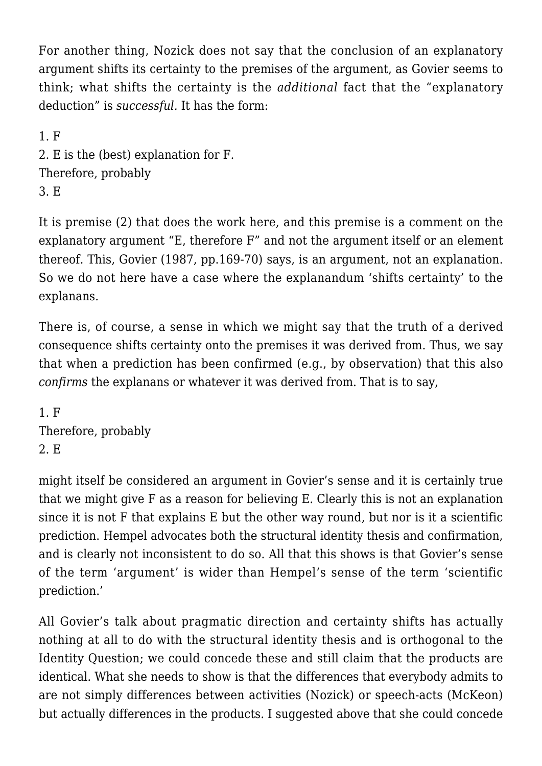For another thing, Nozick does not say that the conclusion of an explanatory argument shifts its certainty to the premises of the argument, as Govier seems to think; what shifts the certainty is the *additional* fact that the "explanatory deduction" is *successful.* It has the form:

1. F 2. E is the (best) explanation for F. Therefore, probably 3. E

It is premise (2) that does the work here, and this premise is a comment on the explanatory argument "E, therefore F" and not the argument itself or an element thereof. This, Govier (1987, pp.169-70) says, is an argument, not an explanation. So we do not here have a case where the explanandum 'shifts certainty' to the explanans.

There is, of course, a sense in which we might say that the truth of a derived consequence shifts certainty onto the premises it was derived from. Thus, we say that when a prediction has been confirmed (e.g., by observation) that this also *confirms* the explanans or whatever it was derived from. That is to say,

1. F Therefore, probably 2. E

might itself be considered an argument in Govier's sense and it is certainly true that we might give F as a reason for believing E. Clearly this is not an explanation since it is not F that explains E but the other way round, but nor is it a scientific prediction. Hempel advocates both the structural identity thesis and confirmation, and is clearly not inconsistent to do so. All that this shows is that Govier's sense of the term 'argument' is wider than Hempel's sense of the term 'scientific prediction.'

All Govier's talk about pragmatic direction and certainty shifts has actually nothing at all to do with the structural identity thesis and is orthogonal to the Identity Question; we could concede these and still claim that the products are identical. What she needs to show is that the differences that everybody admits to are not simply differences between activities (Nozick) or speech-acts (McKeon) but actually differences in the products. I suggested above that she could concede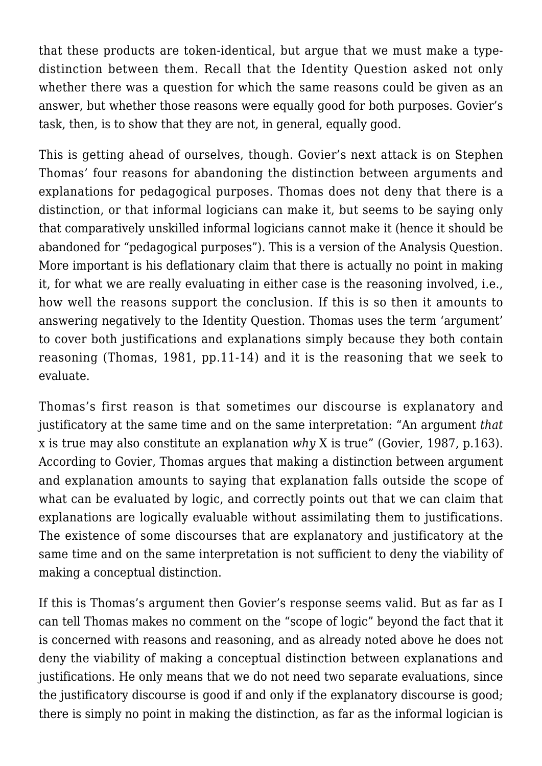that these products are token-identical, but argue that we must make a typedistinction between them. Recall that the Identity Question asked not only whether there was a question for which the same reasons could be given as an answer, but whether those reasons were equally good for both purposes. Govier's task, then, is to show that they are not, in general, equally good.

This is getting ahead of ourselves, though. Govier's next attack is on Stephen Thomas' four reasons for abandoning the distinction between arguments and explanations for pedagogical purposes. Thomas does not deny that there is a distinction, or that informal logicians can make it, but seems to be saying only that comparatively unskilled informal logicians cannot make it (hence it should be abandoned for "pedagogical purposes"). This is a version of the Analysis Question. More important is his deflationary claim that there is actually no point in making it, for what we are really evaluating in either case is the reasoning involved, i.e., how well the reasons support the conclusion. If this is so then it amounts to answering negatively to the Identity Question. Thomas uses the term 'argument' to cover both justifications and explanations simply because they both contain reasoning (Thomas, 1981, pp.11-14) and it is the reasoning that we seek to evaluate.

Thomas's first reason is that sometimes our discourse is explanatory and justificatory at the same time and on the same interpretation: "An argument *that* x is true may also constitute an explanation *why* X is true" (Govier, 1987, p.163). According to Govier, Thomas argues that making a distinction between argument and explanation amounts to saying that explanation falls outside the scope of what can be evaluated by logic, and correctly points out that we can claim that explanations are logically evaluable without assimilating them to justifications. The existence of some discourses that are explanatory and justificatory at the same time and on the same interpretation is not sufficient to deny the viability of making a conceptual distinction.

If this is Thomas's argument then Govier's response seems valid. But as far as I can tell Thomas makes no comment on the "scope of logic" beyond the fact that it is concerned with reasons and reasoning, and as already noted above he does not deny the viability of making a conceptual distinction between explanations and justifications. He only means that we do not need two separate evaluations, since the justificatory discourse is good if and only if the explanatory discourse is good; there is simply no point in making the distinction, as far as the informal logician is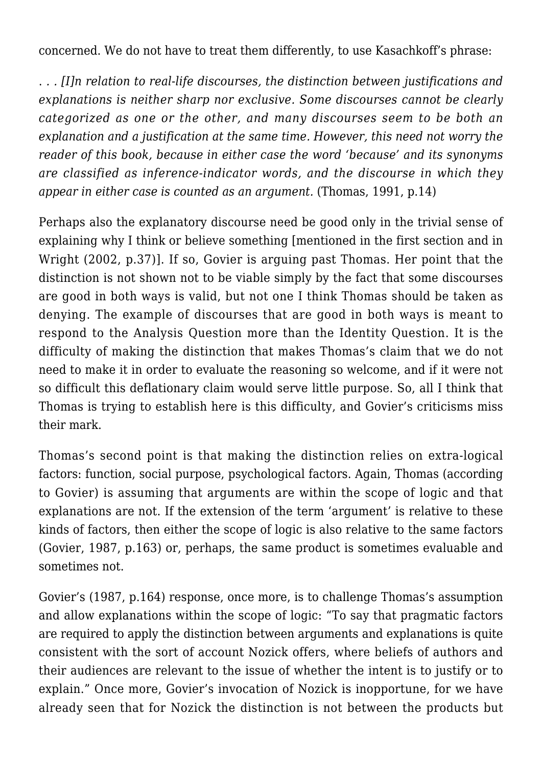concerned. We do not have to treat them differently, to use Kasachkoff's phrase:

. *. . [I]n relation to real-life discourses, the distinction between justifications and explanations is neither sharp nor exclusive. Some discourses cannot be clearly categorized as one or the other, and many discourses seem to be both an explanation and a justification at the same time. However, this need not worry the reader of this book, because in either case the word 'because' and its synonyms are classified as inference-indicator words, and the discourse in which they appear in either case is counted as an argument.* (Thomas, 1991, p.14)

Perhaps also the explanatory discourse need be good only in the trivial sense of explaining why I think or believe something [mentioned in the first section and in Wright (2002, p.37)]. If so, Govier is arguing past Thomas. Her point that the distinction is not shown not to be viable simply by the fact that some discourses are good in both ways is valid, but not one I think Thomas should be taken as denying. The example of discourses that are good in both ways is meant to respond to the Analysis Question more than the Identity Question. It is the difficulty of making the distinction that makes Thomas's claim that we do not need to make it in order to evaluate the reasoning so welcome, and if it were not so difficult this deflationary claim would serve little purpose. So, all I think that Thomas is trying to establish here is this difficulty, and Govier's criticisms miss their mark.

Thomas's second point is that making the distinction relies on extra-logical factors: function, social purpose, psychological factors. Again, Thomas (according to Govier) is assuming that arguments are within the scope of logic and that explanations are not. If the extension of the term 'argument' is relative to these kinds of factors, then either the scope of logic is also relative to the same factors (Govier, 1987, p.163) or, perhaps, the same product is sometimes evaluable and sometimes not.

Govier's (1987, p.164) response, once more, is to challenge Thomas's assumption and allow explanations within the scope of logic: "To say that pragmatic factors are required to apply the distinction between arguments and explanations is quite consistent with the sort of account Nozick offers, where beliefs of authors and their audiences are relevant to the issue of whether the intent is to justify or to explain." Once more, Govier's invocation of Nozick is inopportune, for we have already seen that for Nozick the distinction is not between the products but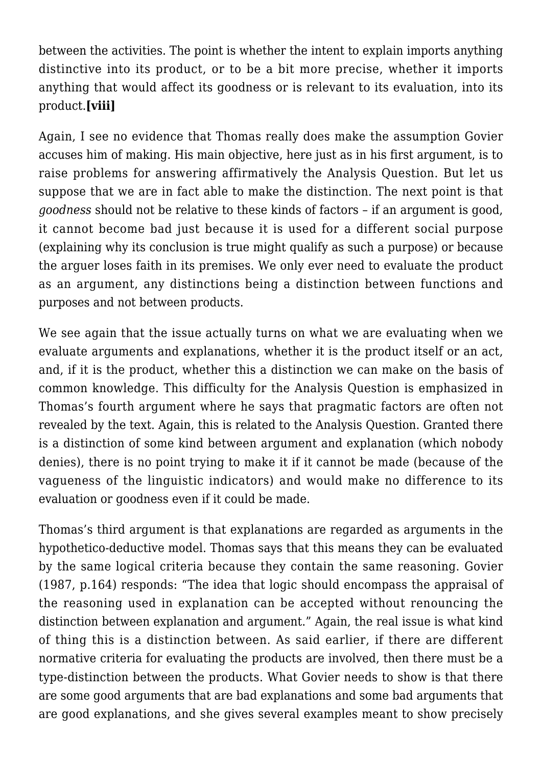between the activities. The point is whether the intent to explain imports anything distinctive into its product, or to be a bit more precise, whether it imports anything that would affect its goodness or is relevant to its evaluation, into its product.**[viii]**

Again, I see no evidence that Thomas really does make the assumption Govier accuses him of making. His main objective, here just as in his first argument, is to raise problems for answering affirmatively the Analysis Question. But let us suppose that we are in fact able to make the distinction. The next point is that *goodness* should not be relative to these kinds of factors – if an argument is good, it cannot become bad just because it is used for a different social purpose (explaining why its conclusion is true might qualify as such a purpose) or because the arguer loses faith in its premises. We only ever need to evaluate the product as an argument, any distinctions being a distinction between functions and purposes and not between products.

We see again that the issue actually turns on what we are evaluating when we evaluate arguments and explanations, whether it is the product itself or an act, and, if it is the product, whether this a distinction we can make on the basis of common knowledge. This difficulty for the Analysis Question is emphasized in Thomas's fourth argument where he says that pragmatic factors are often not revealed by the text. Again, this is related to the Analysis Question. Granted there is a distinction of some kind between argument and explanation (which nobody denies), there is no point trying to make it if it cannot be made (because of the vagueness of the linguistic indicators) and would make no difference to its evaluation or goodness even if it could be made.

Thomas's third argument is that explanations are regarded as arguments in the hypothetico-deductive model. Thomas says that this means they can be evaluated by the same logical criteria because they contain the same reasoning. Govier (1987, p.164) responds: "The idea that logic should encompass the appraisal of the reasoning used in explanation can be accepted without renouncing the distinction between explanation and argument." Again, the real issue is what kind of thing this is a distinction between. As said earlier, if there are different normative criteria for evaluating the products are involved, then there must be a type-distinction between the products. What Govier needs to show is that there are some good arguments that are bad explanations and some bad arguments that are good explanations, and she gives several examples meant to show precisely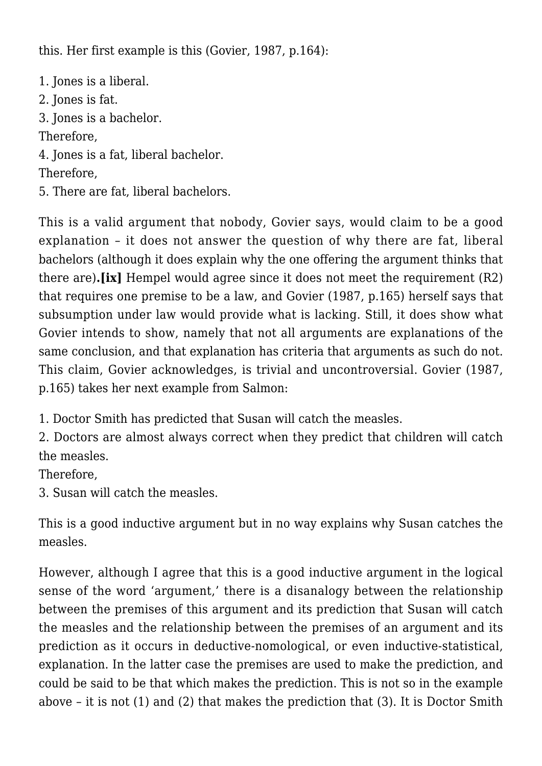this. Her first example is this (Govier, 1987, p.164):

1. Jones is a liberal. 2. Jones is fat. 3. Jones is a bachelor. Therefore, 4. Jones is a fat, liberal bachelor. Therefore, 5. There are fat, liberal bachelors.

This is a valid argument that nobody, Govier says, would claim to be a good explanation – it does not answer the question of why there are fat, liberal bachelors (although it does explain why the one offering the argument thinks that there are)**.[ix]** Hempel would agree since it does not meet the requirement (R2) that requires one premise to be a law, and Govier (1987, p.165) herself says that subsumption under law would provide what is lacking. Still, it does show what Govier intends to show, namely that not all arguments are explanations of the same conclusion, and that explanation has criteria that arguments as such do not. This claim, Govier acknowledges, is trivial and uncontroversial. Govier (1987, p.165) takes her next example from Salmon:

1. Doctor Smith has predicted that Susan will catch the measles.

2. Doctors are almost always correct when they predict that children will catch the measles.

Therefore,

3. Susan will catch the measles.

This is a good inductive argument but in no way explains why Susan catches the measles.

However, although I agree that this is a good inductive argument in the logical sense of the word 'argument,' there is a disanalogy between the relationship between the premises of this argument and its prediction that Susan will catch the measles and the relationship between the premises of an argument and its prediction as it occurs in deductive-nomological, or even inductive-statistical, explanation. In the latter case the premises are used to make the prediction, and could be said to be that which makes the prediction. This is not so in the example above – it is not (1) and (2) that makes the prediction that (3). It is Doctor Smith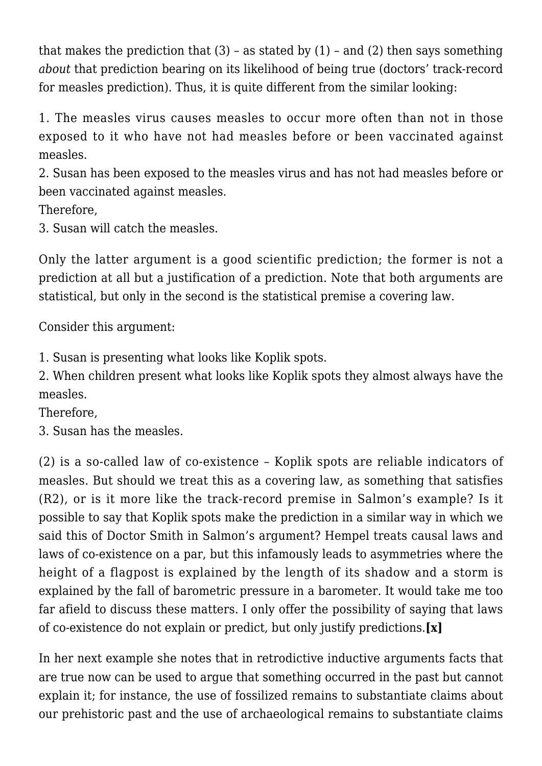that makes the prediction that  $(3)$  – as stated by  $(1)$  – and  $(2)$  then says something *about* that prediction bearing on its likelihood of being true (doctors' track-record for measles prediction). Thus, it is quite different from the similar looking:

1. The measles virus causes measles to occur more often than not in those exposed to it who have not had measles before or been vaccinated against measles.

2. Susan has been exposed to the measles virus and has not had measles before or been vaccinated against measles.

Therefore,

3. Susan will catch the measles.

Only the latter argument is a good scientific prediction; the former is not a prediction at all but a justification of a prediction. Note that both arguments are statistical, but only in the second is the statistical premise a covering law.

Consider this argument:

1. Susan is presenting what looks like Koplik spots.

2. When children present what looks like Koplik spots they almost always have the measles.

Therefore,

3. Susan has the measles.

(2) is a so-called law of co-existence – Koplik spots are reliable indicators of measles. But should we treat this as a covering law, as something that satisfies (R2), or is it more like the track-record premise in Salmon's example? Is it possible to say that Koplik spots make the prediction in a similar way in which we said this of Doctor Smith in Salmon's argument? Hempel treats causal laws and laws of co-existence on a par, but this infamously leads to asymmetries where the height of a flagpost is explained by the length of its shadow and a storm is explained by the fall of barometric pressure in a barometer. It would take me too far afield to discuss these matters. I only offer the possibility of saying that laws of co-existence do not explain or predict, but only justify predictions.**[x]**

In her next example she notes that in retrodictive inductive arguments facts that are true now can be used to argue that something occurred in the past but cannot explain it; for instance, the use of fossilized remains to substantiate claims about our prehistoric past and the use of archaeological remains to substantiate claims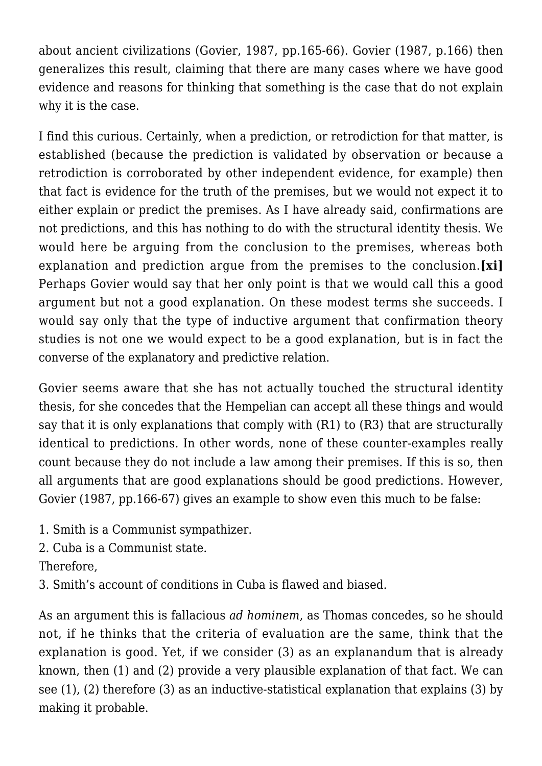about ancient civilizations (Govier, 1987, pp.165-66). Govier (1987, p.166) then generalizes this result, claiming that there are many cases where we have good evidence and reasons for thinking that something is the case that do not explain why it is the case.

I find this curious. Certainly, when a prediction, or retrodiction for that matter, is established (because the prediction is validated by observation or because a retrodiction is corroborated by other independent evidence, for example) then that fact is evidence for the truth of the premises, but we would not expect it to either explain or predict the premises. As I have already said, confirmations are not predictions, and this has nothing to do with the structural identity thesis. We would here be arguing from the conclusion to the premises, whereas both explanation and prediction argue from the premises to the conclusion.**[xi]** Perhaps Govier would say that her only point is that we would call this a good argument but not a good explanation. On these modest terms she succeeds. I would say only that the type of inductive argument that confirmation theory studies is not one we would expect to be a good explanation, but is in fact the converse of the explanatory and predictive relation.

Govier seems aware that she has not actually touched the structural identity thesis, for she concedes that the Hempelian can accept all these things and would say that it is only explanations that comply with (R1) to (R3) that are structurally identical to predictions. In other words, none of these counter-examples really count because they do not include a law among their premises. If this is so, then all arguments that are good explanations should be good predictions. However, Govier (1987, pp.166-67) gives an example to show even this much to be false:

- 1. Smith is a Communist sympathizer.
- 2. Cuba is a Communist state.

Therefore,

3. Smith's account of conditions in Cuba is flawed and biased.

As an argument this is fallacious *ad hominem*, as Thomas concedes, so he should not, if he thinks that the criteria of evaluation are the same, think that the explanation is good. Yet, if we consider (3) as an explanandum that is already known, then (1) and (2) provide a very plausible explanation of that fact. We can see (1), (2) therefore (3) as an inductive-statistical explanation that explains (3) by making it probable.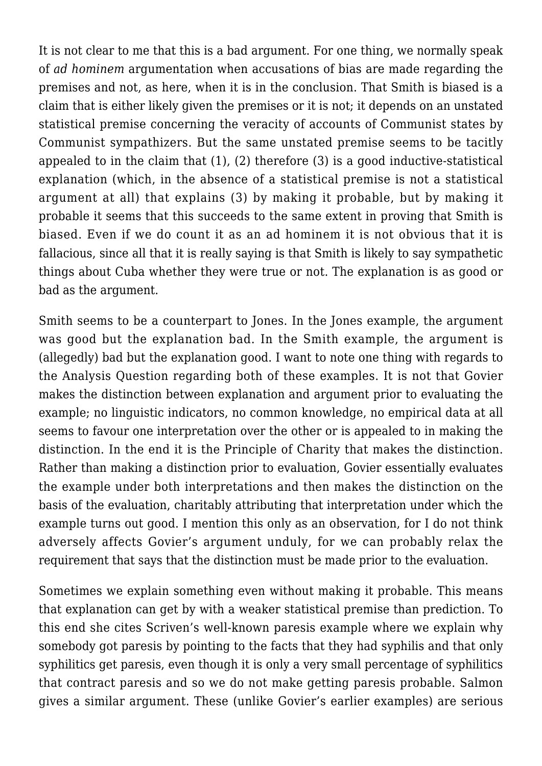It is not clear to me that this is a bad argument. For one thing, we normally speak of *ad hominem* argumentation when accusations of bias are made regarding the premises and not, as here, when it is in the conclusion. That Smith is biased is a claim that is either likely given the premises or it is not; it depends on an unstated statistical premise concerning the veracity of accounts of Communist states by Communist sympathizers. But the same unstated premise seems to be tacitly appealed to in the claim that (1), (2) therefore (3) is a good inductive-statistical explanation (which, in the absence of a statistical premise is not a statistical argument at all) that explains (3) by making it probable, but by making it probable it seems that this succeeds to the same extent in proving that Smith is biased. Even if we do count it as an ad hominem it is not obvious that it is fallacious, since all that it is really saying is that Smith is likely to say sympathetic things about Cuba whether they were true or not. The explanation is as good or bad as the argument.

Smith seems to be a counterpart to Jones. In the Jones example, the argument was good but the explanation bad. In the Smith example, the argument is (allegedly) bad but the explanation good. I want to note one thing with regards to the Analysis Question regarding both of these examples. It is not that Govier makes the distinction between explanation and argument prior to evaluating the example; no linguistic indicators, no common knowledge, no empirical data at all seems to favour one interpretation over the other or is appealed to in making the distinction. In the end it is the Principle of Charity that makes the distinction. Rather than making a distinction prior to evaluation, Govier essentially evaluates the example under both interpretations and then makes the distinction on the basis of the evaluation, charitably attributing that interpretation under which the example turns out good. I mention this only as an observation, for I do not think adversely affects Govier's argument unduly, for we can probably relax the requirement that says that the distinction must be made prior to the evaluation.

Sometimes we explain something even without making it probable. This means that explanation can get by with a weaker statistical premise than prediction. To this end she cites Scriven's well-known paresis example where we explain why somebody got paresis by pointing to the facts that they had syphilis and that only syphilitics get paresis, even though it is only a very small percentage of syphilitics that contract paresis and so we do not make getting paresis probable. Salmon gives a similar argument. These (unlike Govier's earlier examples) are serious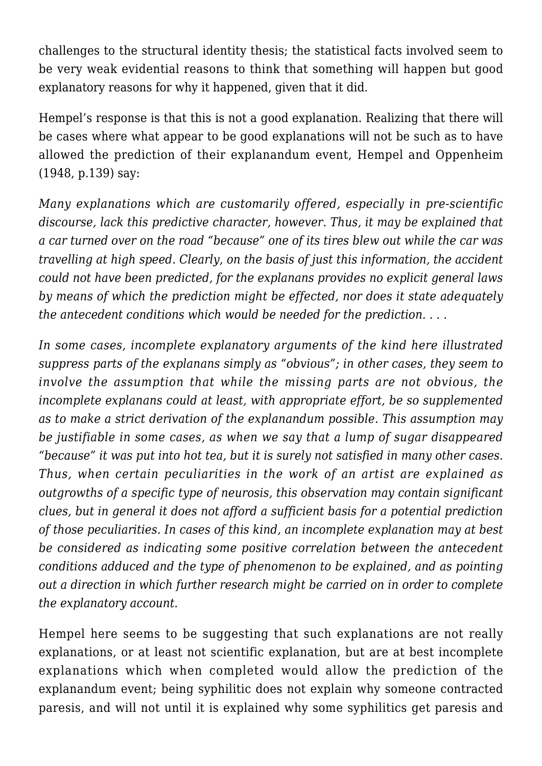challenges to the structural identity thesis; the statistical facts involved seem to be very weak evidential reasons to think that something will happen but good explanatory reasons for why it happened, given that it did.

Hempel's response is that this is not a good explanation. Realizing that there will be cases where what appear to be good explanations will not be such as to have allowed the prediction of their explanandum event, Hempel and Oppenheim (1948, p.139) say:

*Many explanations which are customarily offered, especially in pre-scientific discourse, lack this predictive character, however. Thus, it may be explained that a car turned over on the road "because" one of its tires blew out while the car was travelling at high speed. Clearly, on the basis of just this information, the accident could not have been predicted, for the explanans provides no explicit general laws by means of which the prediction might be effected, nor does it state adequately the antecedent conditions which would be needed for the prediction. . . .*

*In some cases, incomplete explanatory arguments of the kind here illustrated suppress parts of the explanans simply as "obvious"; in other cases, they seem to involve the assumption that while the missing parts are not obvious, the incomplete explanans could at least, with appropriate effort, be so supplemented as to make a strict derivation of the explanandum possible. This assumption may be justifiable in some cases, as when we say that a lump of sugar disappeared "because" it was put into hot tea, but it is surely not satisfied in many other cases. Thus, when certain peculiarities in the work of an artist are explained as outgrowths of a specific type of neurosis, this observation may contain significant clues, but in general it does not afford a sufficient basis for a potential prediction of those peculiarities. In cases of this kind, an incomplete explanation may at best be considered as indicating some positive correlation between the antecedent conditions adduced and the type of phenomenon to be explained, and as pointing out a direction in which further research might be carried on in order to complete the explanatory account.*

Hempel here seems to be suggesting that such explanations are not really explanations, or at least not scientific explanation, but are at best incomplete explanations which when completed would allow the prediction of the explanandum event; being syphilitic does not explain why someone contracted paresis, and will not until it is explained why some syphilitics get paresis and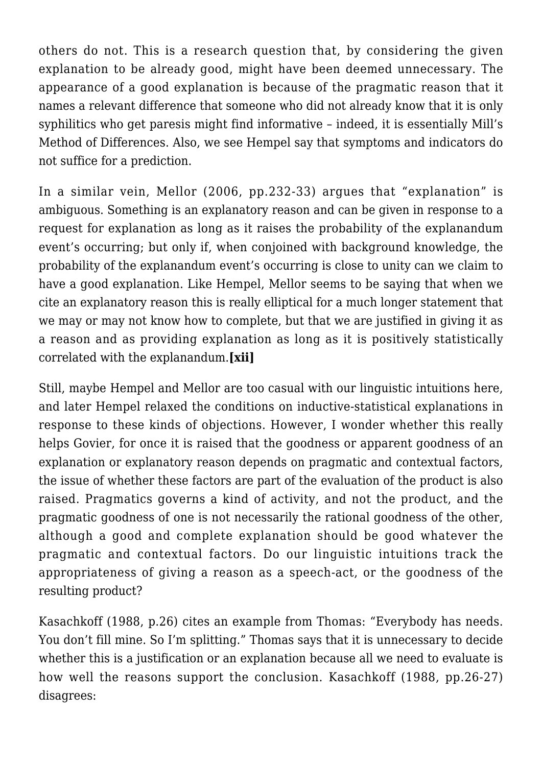others do not. This is a research question that, by considering the given explanation to be already good, might have been deemed unnecessary. The appearance of a good explanation is because of the pragmatic reason that it names a relevant difference that someone who did not already know that it is only syphilitics who get paresis might find informative – indeed, it is essentially Mill's Method of Differences. Also, we see Hempel say that symptoms and indicators do not suffice for a prediction.

In a similar vein, Mellor (2006, pp.232-33) argues that "explanation" is ambiguous. Something is an explanatory reason and can be given in response to a request for explanation as long as it raises the probability of the explanandum event's occurring; but only if, when conjoined with background knowledge, the probability of the explanandum event's occurring is close to unity can we claim to have a good explanation. Like Hempel, Mellor seems to be saying that when we cite an explanatory reason this is really elliptical for a much longer statement that we may or may not know how to complete, but that we are justified in giving it as a reason and as providing explanation as long as it is positively statistically correlated with the explanandum.**[xii]**

Still, maybe Hempel and Mellor are too casual with our linguistic intuitions here, and later Hempel relaxed the conditions on inductive-statistical explanations in response to these kinds of objections. However, I wonder whether this really helps Govier, for once it is raised that the goodness or apparent goodness of an explanation or explanatory reason depends on pragmatic and contextual factors, the issue of whether these factors are part of the evaluation of the product is also raised. Pragmatics governs a kind of activity, and not the product, and the pragmatic goodness of one is not necessarily the rational goodness of the other, although a good and complete explanation should be good whatever the pragmatic and contextual factors. Do our linguistic intuitions track the appropriateness of giving a reason as a speech-act, or the goodness of the resulting product?

Kasachkoff (1988, p.26) cites an example from Thomas: "Everybody has needs. You don't fill mine. So I'm splitting." Thomas says that it is unnecessary to decide whether this is a justification or an explanation because all we need to evaluate is how well the reasons support the conclusion. Kasachkoff (1988, pp.26-27) disagrees: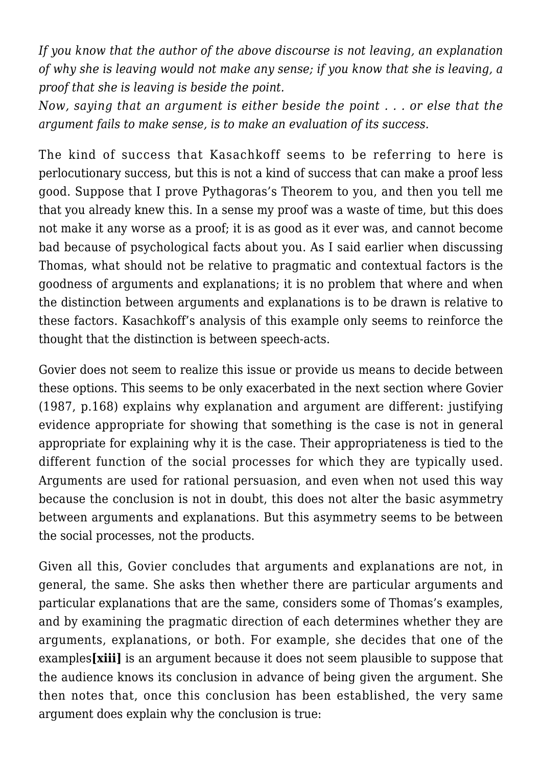*If you know that the author of the above discourse is not leaving, an explanation of why she is leaving would not make any sense; if you know that she is leaving, a proof that she is leaving is beside the point.*

*Now, saying that an argument is either beside the point . . . or else that the argument fails to make sense, is to make an evaluation of its success.*

The kind of success that Kasachkoff seems to be referring to here is perlocutionary success, but this is not a kind of success that can make a proof less good. Suppose that I prove Pythagoras's Theorem to you, and then you tell me that you already knew this. In a sense my proof was a waste of time, but this does not make it any worse as a proof; it is as good as it ever was, and cannot become bad because of psychological facts about you. As I said earlier when discussing Thomas, what should not be relative to pragmatic and contextual factors is the goodness of arguments and explanations; it is no problem that where and when the distinction between arguments and explanations is to be drawn is relative to these factors. Kasachkoff's analysis of this example only seems to reinforce the thought that the distinction is between speech-acts.

Govier does not seem to realize this issue or provide us means to decide between these options. This seems to be only exacerbated in the next section where Govier (1987, p.168) explains why explanation and argument are different: justifying evidence appropriate for showing that something is the case is not in general appropriate for explaining why it is the case. Their appropriateness is tied to the different function of the social processes for which they are typically used. Arguments are used for rational persuasion, and even when not used this way because the conclusion is not in doubt, this does not alter the basic asymmetry between arguments and explanations. But this asymmetry seems to be between the social processes, not the products.

Given all this, Govier concludes that arguments and explanations are not, in general, the same. She asks then whether there are particular arguments and particular explanations that are the same, considers some of Thomas's examples, and by examining the pragmatic direction of each determines whether they are arguments, explanations, or both. For example, she decides that one of the examples**[xiii]** is an argument because it does not seem plausible to suppose that the audience knows its conclusion in advance of being given the argument. She then notes that, once this conclusion has been established, the very same argument does explain why the conclusion is true: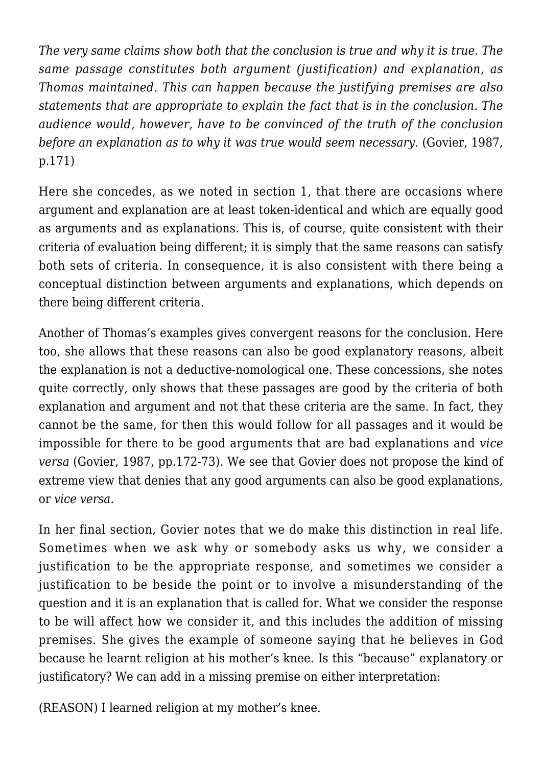*The very same claims show both that the conclusion is true and why it is true. The same passage constitutes both argument (justification) and explanation, as Thomas maintained. This can happen because the justifying premises are also statements that are appropriate to explain the fact that is in the conclusion. The audience would, however, have to be convinced of the truth of the conclusion before an explanation as to why it was true would seem necessary.* (Govier, 1987, p.171)

Here she concedes, as we noted in section 1, that there are occasions where argument and explanation are at least token-identical and which are equally good as arguments and as explanations. This is, of course, quite consistent with their criteria of evaluation being different; it is simply that the same reasons can satisfy both sets of criteria. In consequence, it is also consistent with there being a conceptual distinction between arguments and explanations, which depends on there being different criteria.

Another of Thomas's examples gives convergent reasons for the conclusion. Here too, she allows that these reasons can also be good explanatory reasons, albeit the explanation is not a deductive-nomological one. These concessions, she notes quite correctly, only shows that these passages are good by the criteria of both explanation and argument and not that these criteria are the same. In fact, they cannot be the same, for then this would follow for all passages and it would be impossible for there to be good arguments that are bad explanations and *vice versa* (Govier, 1987, pp.172-73). We see that Govier does not propose the kind of extreme view that denies that any good arguments can also be good explanations, or *vice versa.*

In her final section, Govier notes that we do make this distinction in real life. Sometimes when we ask why or somebody asks us why, we consider a justification to be the appropriate response, and sometimes we consider a justification to be beside the point or to involve a misunderstanding of the question and it is an explanation that is called for. What we consider the response to be will affect how we consider it, and this includes the addition of missing premises. She gives the example of someone saying that he believes in God because he learnt religion at his mother's knee. Is this "because" explanatory or justificatory? We can add in a missing premise on either interpretation:

(REASON) I learned religion at my mother's knee.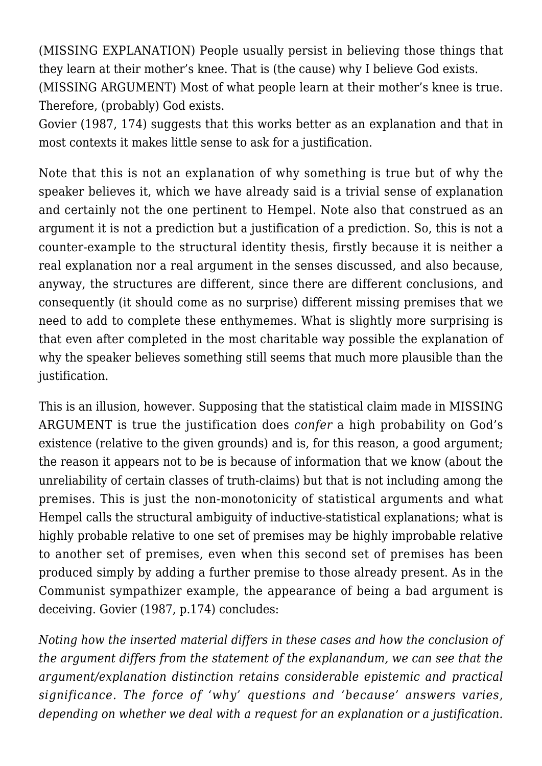(MISSING EXPLANATION) People usually persist in believing those things that they learn at their mother's knee. That is (the cause) why I believe God exists. (MISSING ARGUMENT) Most of what people learn at their mother's knee is true. Therefore, (probably) God exists.

Govier (1987, 174) suggests that this works better as an explanation and that in most contexts it makes little sense to ask for a justification.

Note that this is not an explanation of why something is true but of why the speaker believes it, which we have already said is a trivial sense of explanation and certainly not the one pertinent to Hempel. Note also that construed as an argument it is not a prediction but a justification of a prediction. So, this is not a counter-example to the structural identity thesis, firstly because it is neither a real explanation nor a real argument in the senses discussed, and also because, anyway, the structures are different, since there are different conclusions, and consequently (it should come as no surprise) different missing premises that we need to add to complete these enthymemes. What is slightly more surprising is that even after completed in the most charitable way possible the explanation of why the speaker believes something still seems that much more plausible than the justification.

This is an illusion, however. Supposing that the statistical claim made in MISSING ARGUMENT is true the justification does *confer* a high probability on God's existence (relative to the given grounds) and is, for this reason, a good argument: the reason it appears not to be is because of information that we know (about the unreliability of certain classes of truth-claims) but that is not including among the premises. This is just the non-monotonicity of statistical arguments and what Hempel calls the structural ambiguity of inductive-statistical explanations; what is highly probable relative to one set of premises may be highly improbable relative to another set of premises, even when this second set of premises has been produced simply by adding a further premise to those already present. As in the Communist sympathizer example, the appearance of being a bad argument is deceiving. Govier (1987, p.174) concludes:

*Noting how the inserted material differs in these cases and how the conclusion of the argument differs from the statement of the explanandum, we can see that the argument/explanation distinction retains considerable epistemic and practical significance. The force of 'why' questions and 'because' answers varies, depending on whether we deal with a request for an explanation or a justification.*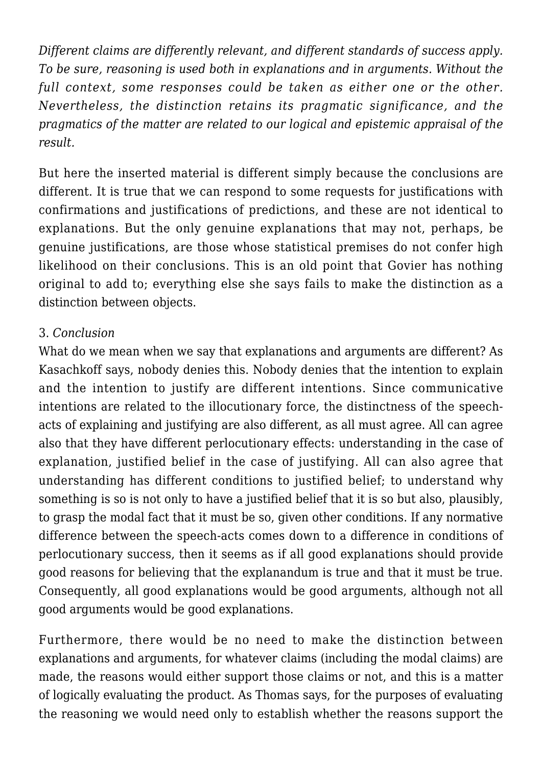*Different claims are differently relevant, and different standards of success apply. To be sure, reasoning is used both in explanations and in arguments. Without the full context, some responses could be taken as either one or the other. Nevertheless, the distinction retains its pragmatic significance, and the pragmatics of the matter are related to our logical and epistemic appraisal of the result.*

But here the inserted material is different simply because the conclusions are different. It is true that we can respond to some requests for justifications with confirmations and justifications of predictions, and these are not identical to explanations. But the only genuine explanations that may not, perhaps, be genuine justifications, are those whose statistical premises do not confer high likelihood on their conclusions. This is an old point that Govier has nothing original to add to; everything else she says fails to make the distinction as a distinction between objects.

### 3. *Conclusion*

What do we mean when we say that explanations and arguments are different? As Kasachkoff says, nobody denies this. Nobody denies that the intention to explain and the intention to justify are different intentions. Since communicative intentions are related to the illocutionary force, the distinctness of the speechacts of explaining and justifying are also different, as all must agree. All can agree also that they have different perlocutionary effects: understanding in the case of explanation, justified belief in the case of justifying. All can also agree that understanding has different conditions to justified belief; to understand why something is so is not only to have a justified belief that it is so but also, plausibly, to grasp the modal fact that it must be so, given other conditions. If any normative difference between the speech-acts comes down to a difference in conditions of perlocutionary success, then it seems as if all good explanations should provide good reasons for believing that the explanandum is true and that it must be true. Consequently, all good explanations would be good arguments, although not all good arguments would be good explanations.

Furthermore, there would be no need to make the distinction between explanations and arguments, for whatever claims (including the modal claims) are made, the reasons would either support those claims or not, and this is a matter of logically evaluating the product. As Thomas says, for the purposes of evaluating the reasoning we would need only to establish whether the reasons support the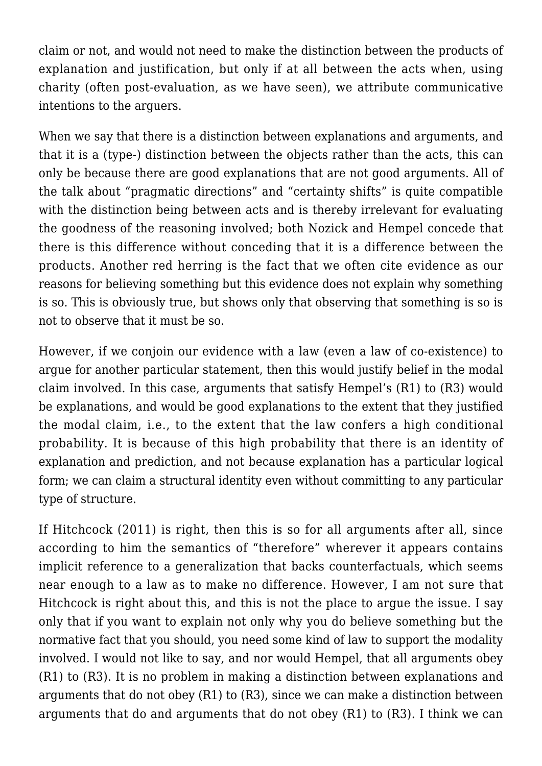claim or not, and would not need to make the distinction between the products of explanation and justification, but only if at all between the acts when, using charity (often post-evaluation, as we have seen), we attribute communicative intentions to the arguers.

When we say that there is a distinction between explanations and arguments, and that it is a (type-) distinction between the objects rather than the acts, this can only be because there are good explanations that are not good arguments. All of the talk about "pragmatic directions" and "certainty shifts" is quite compatible with the distinction being between acts and is thereby irrelevant for evaluating the goodness of the reasoning involved; both Nozick and Hempel concede that there is this difference without conceding that it is a difference between the products. Another red herring is the fact that we often cite evidence as our reasons for believing something but this evidence does not explain why something is so. This is obviously true, but shows only that observing that something is so is not to observe that it must be so.

However, if we conjoin our evidence with a law (even a law of co-existence) to argue for another particular statement, then this would justify belief in the modal claim involved. In this case, arguments that satisfy Hempel's (R1) to (R3) would be explanations, and would be good explanations to the extent that they justified the modal claim, i.e., to the extent that the law confers a high conditional probability. It is because of this high probability that there is an identity of explanation and prediction, and not because explanation has a particular logical form; we can claim a structural identity even without committing to any particular type of structure.

If Hitchcock (2011) is right, then this is so for all arguments after all, since according to him the semantics of "therefore" wherever it appears contains implicit reference to a generalization that backs counterfactuals, which seems near enough to a law as to make no difference. However, I am not sure that Hitchcock is right about this, and this is not the place to argue the issue. I say only that if you want to explain not only why you do believe something but the normative fact that you should, you need some kind of law to support the modality involved. I would not like to say, and nor would Hempel, that all arguments obey (R1) to (R3). It is no problem in making a distinction between explanations and arguments that do not obey (R1) to (R3), since we can make a distinction between arguments that do and arguments that do not obey (R1) to (R3). I think we can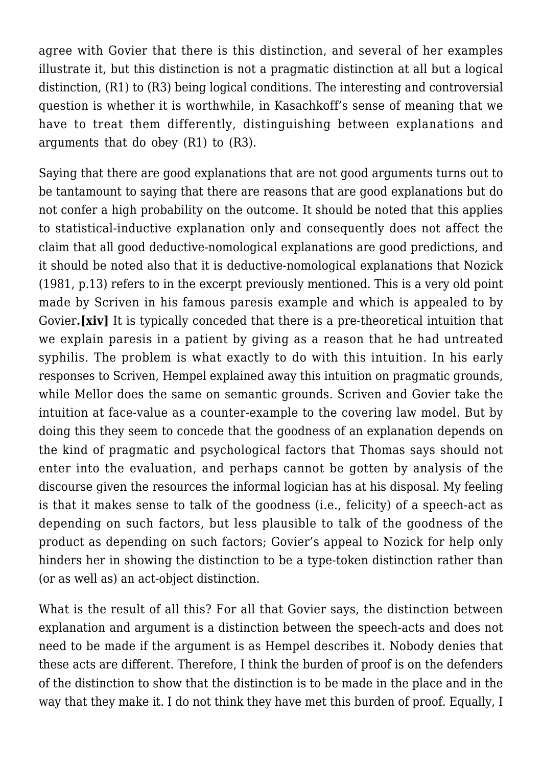agree with Govier that there is this distinction, and several of her examples illustrate it, but this distinction is not a pragmatic distinction at all but a logical distinction, (R1) to (R3) being logical conditions. The interesting and controversial question is whether it is worthwhile, in Kasachkoff's sense of meaning that we have to treat them differently, distinguishing between explanations and arguments that do obey (R1) to (R3).

Saying that there are good explanations that are not good arguments turns out to be tantamount to saying that there are reasons that are good explanations but do not confer a high probability on the outcome. It should be noted that this applies to statistical-inductive explanation only and consequently does not affect the claim that all good deductive-nomological explanations are good predictions, and it should be noted also that it is deductive-nomological explanations that Nozick (1981, p.13) refers to in the excerpt previously mentioned. This is a very old point made by Scriven in his famous paresis example and which is appealed to by Govier**.[xiv]** It is typically conceded that there is a pre-theoretical intuition that we explain paresis in a patient by giving as a reason that he had untreated syphilis. The problem is what exactly to do with this intuition. In his early responses to Scriven, Hempel explained away this intuition on pragmatic grounds, while Mellor does the same on semantic grounds. Scriven and Govier take the intuition at face-value as a counter-example to the covering law model. But by doing this they seem to concede that the goodness of an explanation depends on the kind of pragmatic and psychological factors that Thomas says should not enter into the evaluation, and perhaps cannot be gotten by analysis of the discourse given the resources the informal logician has at his disposal. My feeling is that it makes sense to talk of the goodness (i.e., felicity) of a speech-act as depending on such factors, but less plausible to talk of the goodness of the product as depending on such factors; Govier's appeal to Nozick for help only hinders her in showing the distinction to be a type-token distinction rather than (or as well as) an act-object distinction.

What is the result of all this? For all that Govier says, the distinction between explanation and argument is a distinction between the speech-acts and does not need to be made if the argument is as Hempel describes it. Nobody denies that these acts are different. Therefore, I think the burden of proof is on the defenders of the distinction to show that the distinction is to be made in the place and in the way that they make it. I do not think they have met this burden of proof. Equally, I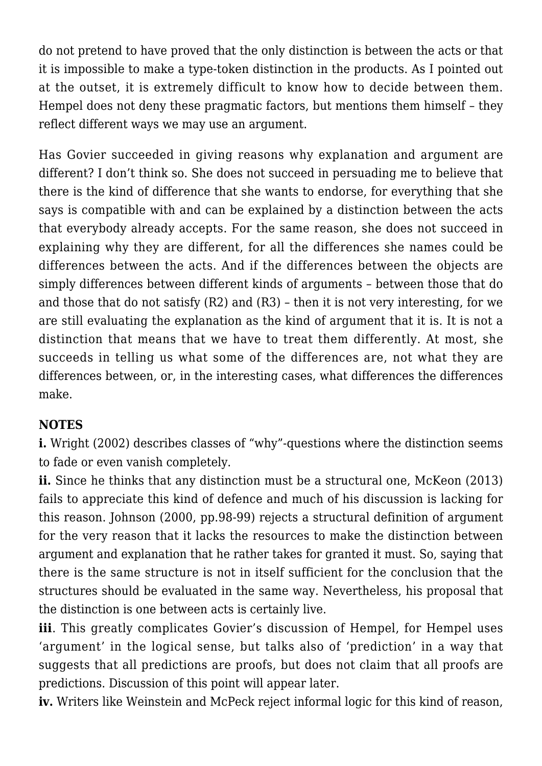do not pretend to have proved that the only distinction is between the acts or that it is impossible to make a type-token distinction in the products. As I pointed out at the outset, it is extremely difficult to know how to decide between them. Hempel does not deny these pragmatic factors, but mentions them himself – they reflect different ways we may use an argument.

Has Govier succeeded in giving reasons why explanation and argument are different? I don't think so. She does not succeed in persuading me to believe that there is the kind of difference that she wants to endorse, for everything that she says is compatible with and can be explained by a distinction between the acts that everybody already accepts. For the same reason, she does not succeed in explaining why they are different, for all the differences she names could be differences between the acts. And if the differences between the objects are simply differences between different kinds of arguments – between those that do and those that do not satisfy (R2) and (R3) – then it is not very interesting, for we are still evaluating the explanation as the kind of argument that it is. It is not a distinction that means that we have to treat them differently. At most, she succeeds in telling us what some of the differences are, not what they are differences between, or, in the interesting cases, what differences the differences make.

#### **NOTES**

**i.** Wright (2002) describes classes of "why"-questions where the distinction seems to fade or even vanish completely.

**ii.** Since he thinks that any distinction must be a structural one, McKeon (2013) fails to appreciate this kind of defence and much of his discussion is lacking for this reason. Johnson (2000, pp.98-99) rejects a structural definition of argument for the very reason that it lacks the resources to make the distinction between argument and explanation that he rather takes for granted it must. So, saying that there is the same structure is not in itself sufficient for the conclusion that the structures should be evaluated in the same way. Nevertheless, his proposal that the distinction is one between acts is certainly live.

**iii**. This greatly complicates Govier's discussion of Hempel, for Hempel uses 'argument' in the logical sense, but talks also of 'prediction' in a way that suggests that all predictions are proofs, but does not claim that all proofs are predictions. Discussion of this point will appear later.

**iv.** Writers like Weinstein and McPeck reject informal logic for this kind of reason,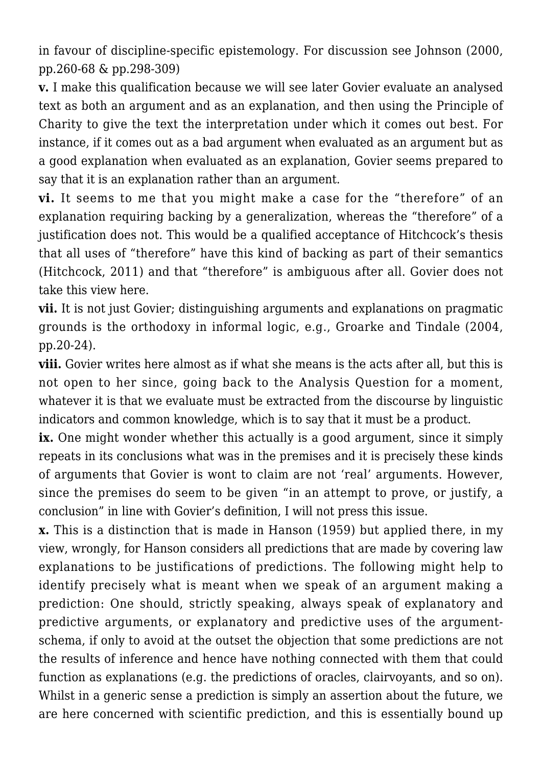in favour of discipline-specific epistemology. For discussion see Johnson (2000, pp.260-68 & pp.298-309)

**v.** I make this qualification because we will see later Govier evaluate an analysed text as both an argument and as an explanation, and then using the Principle of Charity to give the text the interpretation under which it comes out best. For instance, if it comes out as a bad argument when evaluated as an argument but as a good explanation when evaluated as an explanation, Govier seems prepared to say that it is an explanation rather than an argument.

**vi.** It seems to me that you might make a case for the "therefore" of an explanation requiring backing by a generalization, whereas the "therefore" of a justification does not. This would be a qualified acceptance of Hitchcock's thesis that all uses of "therefore" have this kind of backing as part of their semantics (Hitchcock, 2011) and that "therefore" is ambiguous after all. Govier does not take this view here.

**vii.** It is not just Govier; distinguishing arguments and explanations on pragmatic grounds is the orthodoxy in informal logic, e.g., Groarke and Tindale (2004, pp.20-24).

**viii.** Govier writes here almost as if what she means is the acts after all, but this is not open to her since, going back to the Analysis Question for a moment, whatever it is that we evaluate must be extracted from the discourse by linguistic indicators and common knowledge, which is to say that it must be a product.

**ix.** One might wonder whether this actually is a good argument, since it simply repeats in its conclusions what was in the premises and it is precisely these kinds of arguments that Govier is wont to claim are not 'real' arguments. However, since the premises do seem to be given "in an attempt to prove, or justify, a conclusion" in line with Govier's definition, I will not press this issue.

**x.** This is a distinction that is made in Hanson (1959) but applied there, in my view, wrongly, for Hanson considers all predictions that are made by covering law explanations to be justifications of predictions. The following might help to identify precisely what is meant when we speak of an argument making a prediction: One should, strictly speaking, always speak of explanatory and predictive arguments, or explanatory and predictive uses of the argumentschema, if only to avoid at the outset the objection that some predictions are not the results of inference and hence have nothing connected with them that could function as explanations (e.g. the predictions of oracles, clairvoyants, and so on). Whilst in a generic sense a prediction is simply an assertion about the future, we are here concerned with scientific prediction, and this is essentially bound up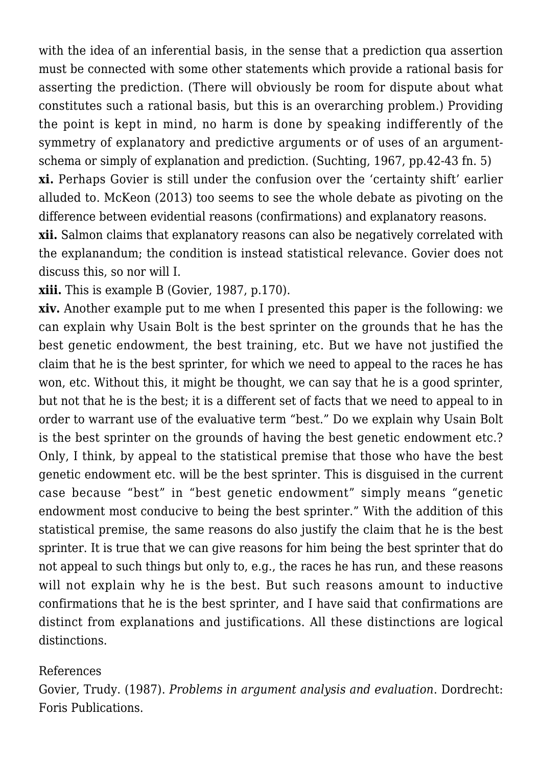with the idea of an inferential basis, in the sense that a prediction qua assertion must be connected with some other statements which provide a rational basis for asserting the prediction. (There will obviously be room for dispute about what constitutes such a rational basis, but this is an overarching problem.) Providing the point is kept in mind, no harm is done by speaking indifferently of the symmetry of explanatory and predictive arguments or of uses of an argumentschema or simply of explanation and prediction. (Suchting, 1967, pp.42-43 fn. 5) **xi.** Perhaps Govier is still under the confusion over the 'certainty shift' earlier alluded to. McKeon (2013) too seems to see the whole debate as pivoting on the

difference between evidential reasons (confirmations) and explanatory reasons.

**xii.** Salmon claims that explanatory reasons can also be negatively correlated with the explanandum; the condition is instead statistical relevance. Govier does not discuss this, so nor will I.

**xiii.** This is example B (Govier, 1987, p.170).

**xiv.** Another example put to me when I presented this paper is the following: we can explain why Usain Bolt is the best sprinter on the grounds that he has the best genetic endowment, the best training, etc. But we have not justified the claim that he is the best sprinter, for which we need to appeal to the races he has won, etc. Without this, it might be thought, we can say that he is a good sprinter, but not that he is the best; it is a different set of facts that we need to appeal to in order to warrant use of the evaluative term "best." Do we explain why Usain Bolt is the best sprinter on the grounds of having the best genetic endowment etc.? Only, I think, by appeal to the statistical premise that those who have the best genetic endowment etc. will be the best sprinter. This is disguised in the current case because "best" in "best genetic endowment" simply means "genetic endowment most conducive to being the best sprinter." With the addition of this statistical premise, the same reasons do also justify the claim that he is the best sprinter. It is true that we can give reasons for him being the best sprinter that do not appeal to such things but only to, e.g., the races he has run, and these reasons will not explain why he is the best. But such reasons amount to inductive confirmations that he is the best sprinter, and I have said that confirmations are distinct from explanations and justifications. All these distinctions are logical distinctions.

#### References

Govier, Trudy. (1987). *Problems in argument analysis and evaluation*. Dordrecht: Foris Publications.